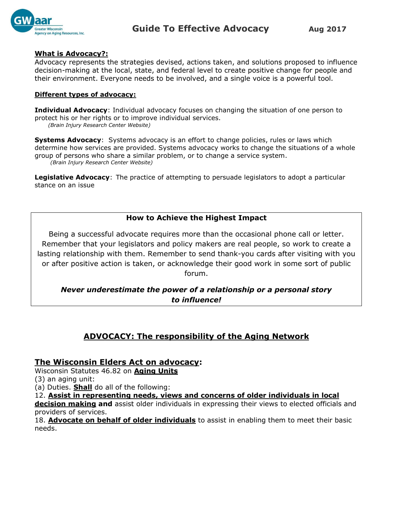

#### **What is Advocacy?:**

Advocacy represents the strategies devised, actions taken, and solutions proposed to influence decision-making at the local, state, and federal level to create positive change for people and their environment. Everyone needs to be involved, and a single voice is a powerful tool.

#### **Different types of advocacy:**

**Individual Advocacy**: Individual advocacy focuses on changing the situation of one person to protect his or her rights or to improve individual services. *(Brain Injury Research Center Website)*

**Systems Advocacy**: Systems advocacy is an effort to change policies, rules or laws which determine how services are provided. Systems advocacy works to change the situations of a whole group of persons who share a similar problem, or to change a service system. *(Brain Injury Research Center Website)*

**Legislative Advocacy**: The practice of attempting to persuade legislators to adopt a particular stance on an issue

## **How to Achieve the Highest Impact**

Being a successful advocate requires more than the occasional phone call or letter. Remember that your legislators and policy makers are real people, so work to create a lasting relationship with them. Remember to send thank-you cards after visiting with you or after positive action is taken, or acknowledge their good work in some sort of public forum.

## *Never underestimate the power of a relationship or a personal story to influence!*

# **ADVOCACY: The responsibility of the Aging Network**

## **The Wisconsin Elders Act on advocacy:**

Wisconsin Statutes 46.82 on **Aging Units**

(3) an aging unit:

(a) Duties. **Shall** do all of the following:

12. **Assist in representing needs, views and concerns of older individuals in local** 

**decision making and** assist older individuals in expressing their views to elected officials and providers of services.

18. **Advocate on behalf of older individuals** to assist in enabling them to meet their basic needs.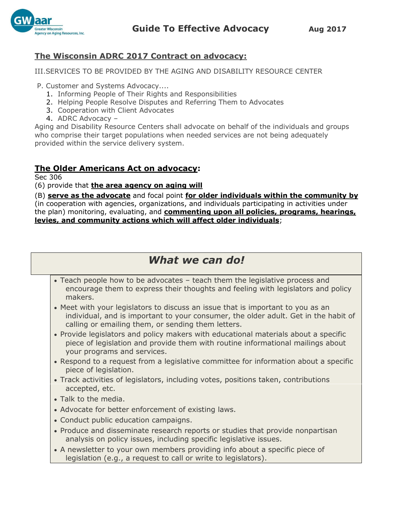



## **The Wisconsin ADRC 2017 Contract on advocacy:**

III.SERVICES TO BE PROVIDED BY THE AGING AND DISABILITY RESOURCE CENTER

P. Customer and Systems Advocacy....

- 1. Informing People of Their Rights and Responsibilities
- 2. Helping People Resolve Disputes and Referring Them to Advocates
- 3. Cooperation with Client Advocates
- 4. ADRC Advocacy –

Aging and Disability Resource Centers shall advocate on behalf of the individuals and groups who comprise their target populations when needed services are not being adequately provided within the service delivery system.

## **The Older Americans Act on advocacy:**

Sec 306

(6) provide that **the area agency on aging will**

(B) **serve as the advocate** and focal point **for older individuals within the community by** (in cooperation with agencies, organizations, and individuals participating in activities under the plan) monitoring, evaluating, and **commenting upon all policies, programs, hearings, levies, and community actions which will affect older individuals**;

# *What we can do!*

- Teach people how to be advocates teach them the legislative process and encourage them to express their thoughts and feeling with legislators and policy makers.
- Meet with your legislators to discuss an issue that is important to you as an individual, and is important to your consumer, the older adult. Get in the habit of calling or emailing them, or sending them letters.
- Provide legislators and policy makers with educational materials about a specific piece of legislation and provide them with routine informational mailings about your programs and services.
- Respond to a request from a legislative committee for information about a specific piece of legislation.
- Track activities of legislators, including votes, positions taken, contributions accepted, etc.
- Talk to the media.
- Advocate for better enforcement of existing laws.
- Conduct public education campaigns.
- Produce and disseminate research reports or studies that provide nonpartisan analysis on policy issues, including specific legislative issues.
- A newsletter to your own members providing info about a specific piece of legislation (e.g., a request to call or write to legislators).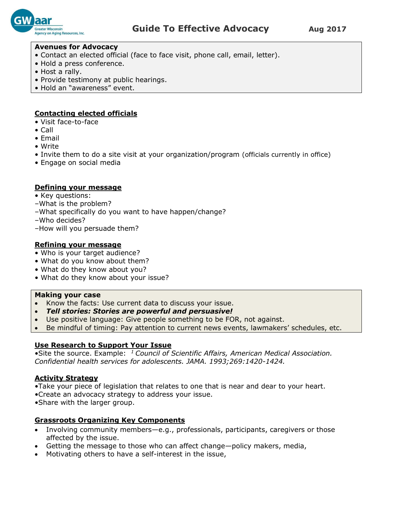

#### **Avenues for Advocacy**

- Contact an elected official (face to face visit, phone call, email, letter).
- Hold a press conference.
- Host a rally.
- Provide testimony at public hearings.
- Hold an "awareness" event.

### **Contacting elected officials**

- Visit face-to-face
- Call
- Email
- Write
- Invite them to do a site visit at your organization/program (officials currently in office)
- Engage on social media

#### **Defining your message**

- Key questions:
- –What is the problem?
- –What specifically do you want to have happen/change?
- –Who decides?
- –How will you persuade them?

#### **Refining your message**

- Who is your target audience?
- What do you know about them?
- What do they know about you?
- What do they know about your issue?

#### **Making your case**

- Know the facts: Use current data to discuss your issue.
- *Tell stories: Stories are powerful and persuasive!*
- Use positive language: Give people something to be FOR, not against.
- Be mindful of timing: Pay attention to current news events, lawmakers' schedules, etc.

#### **Use Research to Support Your Issue**

•Site the source. Example: *<sup>1</sup>Council of Scientific Affairs, American Medical Association. Confidential health services for adolescents. JAMA. 1993;269:1420-1424.*

#### **Activity Strategy**

- •Take your piece of legislation that relates to one that is near and dear to your heart.
- •Create an advocacy strategy to address your issue.
- •Share with the larger group.

#### **Grassroots Organizing Key Components**

- Involving community members—e.g., professionals, participants, caregivers or those affected by the issue.
- Getting the message to those who can affect change—policy makers, media,
- Motivating others to have a self-interest in the issue,